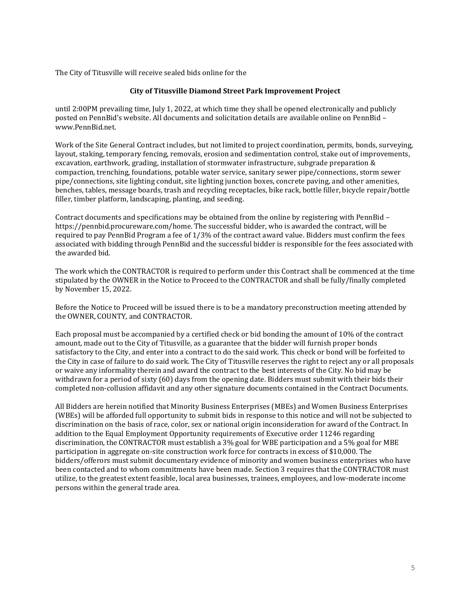The City of Titusville will receive sealed bids online for the

## **City of Titusville Diamond Street Park Improvement Project**

until 2:00PM prevailing time, July 1, 2022, at which time they shall be opened electronically and publicly posted on PennBid's website. All documents and solicitation details are available online on PennBid – [www.PennBid.net.](http://www.pennbid.net/)

Work of the Site General Contract includes, but not limited to project coordination, permits, bonds, surveying, layout, staking, temporary fencing, removals, erosion and sedimentation control, stake out of improvements, excavation, earthwork, grading, installation of stormwater infrastructure, subgrade preparation & compaction, trenching, foundations, potable water service, sanitary sewer pipe/connections, storm sewer pipe/connections, site lighting conduit, site lighting junction boxes, concrete paving, and other amenities, benches, tables, message boards, trash and recycling receptacles, bike rack, bottle filler, bicycle repair/bottle filler, timber platform, landscaping, planting, and seeding.

Contract documents and specifications may be obtained from the online by registering with PennBid – https://pennbid.procureware.com/home. The successful bidder, who is awarded the contract, will be required to pay PennBid Program a fee of 1/3% of the contract award value. Bidders must confirm the fees associated with bidding through PennBid and the successful bidder is responsible for the fees associated with the awarded bid.

The work which the CONTRACTOR is required to perform under this Contract shall be commenced at the time stipulated by the OWNER in the Notice to Proceed to the CONTRACTOR and shall be fully/finally completed by November 15, 2022.

Before the Notice to Proceed will be issued there is to be a mandatory preconstruction meeting attended by the OWNER, COUNTY, and CONTRACTOR.

Each proposal must be accompanied by a certified check or bid bonding the amount of 10% of the contract amount, made out to the City of Titusville, as a guarantee that the bidder will furnish proper bonds satisfactory to the City, and enter into a contract to do the said work. This check or bond will be forfeited to the City in case of failure to do said work. The City of Titusville reserves the right to reject any or all proposals or waive any informality therein and award the contract to the best interests of the City. No bid may be withdrawn for a period of sixty (60) days from the opening date. Bidders must submit with their bids their completed non-collusion affidavit and any other signature documents contained in the Contract Documents.

All Bidders are herein notified that Minority Business Enterprises (MBEs) and Women Business Enterprises (WBEs) will be afforded full opportunity to submit bids in response to this notice and will not be subjected to discrimination on the basis of race, color, sex or national origin inconsideration for award of the Contract. In addition to the Equal Employment Opportunity requirements of Executive order 11246 regarding discrimination, the CONTRACTOR must establish a 3% goal for WBE participation and a 5% goal for MBE participation in aggregate on-site construction work force for contracts in excess of \$10,000. The bidders/offerors must submit documentary evidence of minority and women business enterprises who have been contacted and to whom commitments have been made. Section 3 requires that the CONTRACTOR must utilize, to the greatest extent feasible, local area businesses, trainees, employees, and low-moderate income persons within the general trade area.